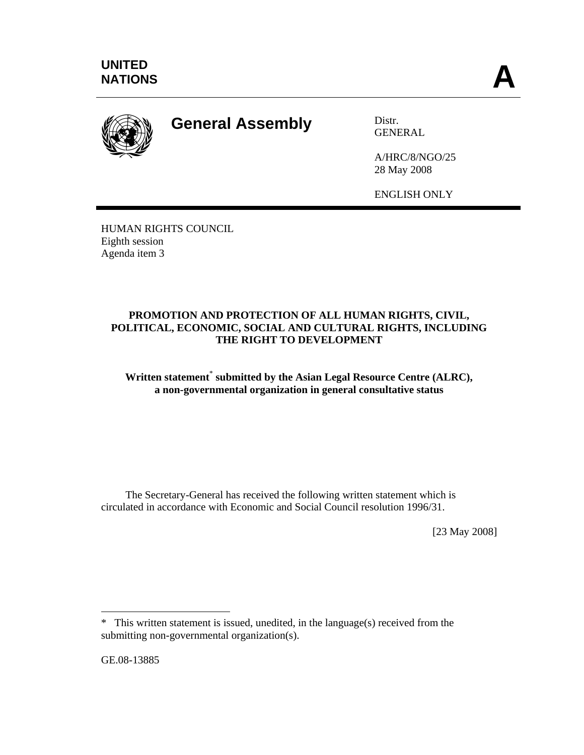

# **General Assembly** Distr.

GENERAL

A/HRC/8/NGO/25 28 May 2008

ENGLISH ONLY

HUMAN RIGHTS COUNCIL Eighth session Agenda item 3

## **PROMOTION AND PROTECTION OF ALL HUMAN RIGHTS, CIVIL, POLITICAL, ECONOMIC, SOCIAL AND CULTURAL RIGHTS, INCLUDING THE RIGHT TO DEVELOPMENT**

## Written statement<sup>\*</sup> submitted by the Asian Legal Resource Centre (ALRC), **a non-governmental organization in general consultative status**

 The Secretary-General has received the following written statement which is circulated in accordance with Economic and Social Council resolution 1996/31.

[23 May 2008]

GE.08-13885

 $\overline{a}$ 

<sup>\*</sup> This written statement is issued, unedited, in the language(s) received from the submitting non-governmental organization(s).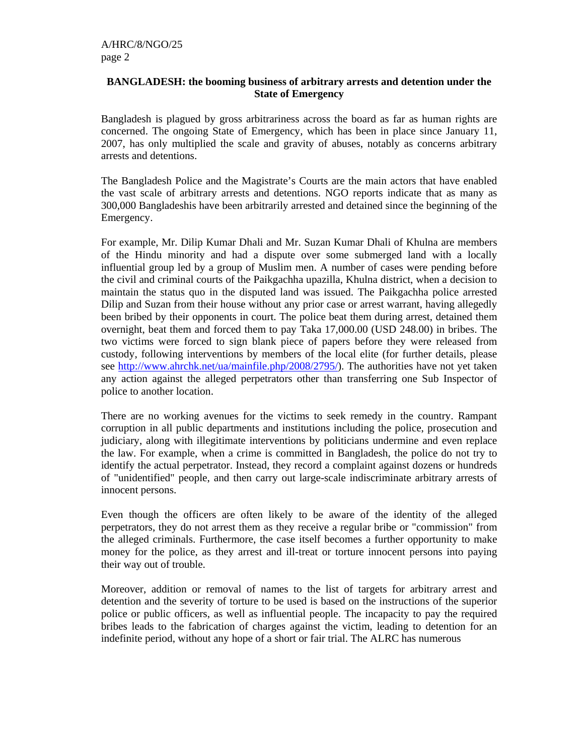#### **BANGLADESH: the booming business of arbitrary arrests and detention under the State of Emergency**

Bangladesh is plagued by gross arbitrariness across the board as far as human rights are concerned. The ongoing State of Emergency, which has been in place since January 11, 2007, has only multiplied the scale and gravity of abuses, notably as concerns arbitrary arrests and detentions.

The Bangladesh Police and the Magistrate's Courts are the main actors that have enabled the vast scale of arbitrary arrests and detentions. NGO reports indicate that as many as 300,000 Bangladeshis have been arbitrarily arrested and detained since the beginning of the Emergency.

For example, Mr. Dilip Kumar Dhali and Mr. Suzan Kumar Dhali of Khulna are members of the Hindu minority and had a dispute over some submerged land with a locally influential group led by a group of Muslim men. A number of cases were pending before the civil and criminal courts of the Paikgachha upazilla, Khulna district, when a decision to maintain the status quo in the disputed land was issued. The Paikgachha police arrested Dilip and Suzan from their house without any prior case or arrest warrant, having allegedly been bribed by their opponents in court. The police beat them during arrest, detained them overnight, beat them and forced them to pay Taka 17,000.00 (USD 248.00) in bribes. The two victims were forced to sign blank piece of papers before they were released from custody, following interventions by members of the local elite (for further details, please see http://www.ahrchk.net/ua/mainfile.php/2008/2795/). The authorities have not yet taken any action against the alleged perpetrators other than transferring one Sub Inspector of police to another location.

There are no working avenues for the victims to seek remedy in the country. Rampant corruption in all public departments and institutions including the police, prosecution and judiciary, along with illegitimate interventions by politicians undermine and even replace the law. For example, when a crime is committed in Bangladesh, the police do not try to identify the actual perpetrator. Instead, they record a complaint against dozens or hundreds of "unidentified" people, and then carry out large-scale indiscriminate arbitrary arrests of innocent persons.

Even though the officers are often likely to be aware of the identity of the alleged perpetrators, they do not arrest them as they receive a regular bribe or "commission" from the alleged criminals. Furthermore, the case itself becomes a further opportunity to make money for the police, as they arrest and ill-treat or torture innocent persons into paying their way out of trouble.

Moreover, addition or removal of names to the list of targets for arbitrary arrest and detention and the severity of torture to be used is based on the instructions of the superior police or public officers, as well as influential people. The incapacity to pay the required bribes leads to the fabrication of charges against the victim, leading to detention for an indefinite period, without any hope of a short or fair trial. The ALRC has numerous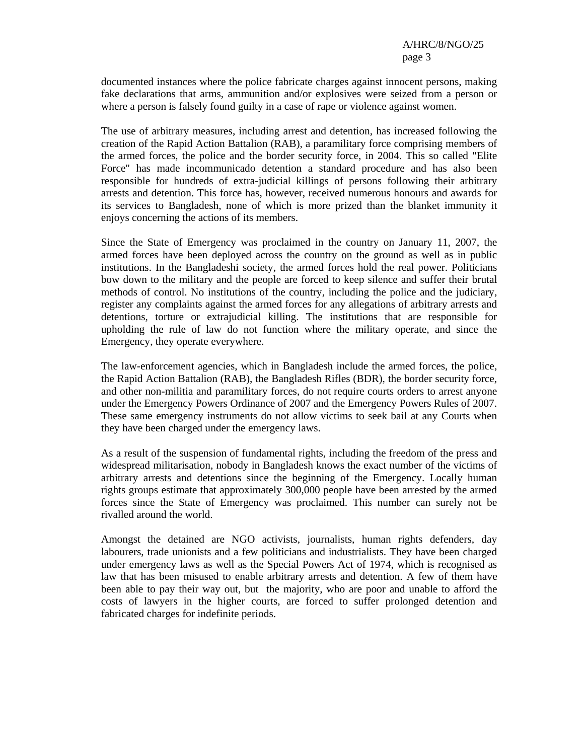documented instances where the police fabricate charges against innocent persons, making fake declarations that arms, ammunition and/or explosives were seized from a person or where a person is falsely found guilty in a case of rape or violence against women.

The use of arbitrary measures, including arrest and detention, has increased following the creation of the Rapid Action Battalion (RAB), a paramilitary force comprising members of the armed forces, the police and the border security force, in 2004. This so called "Elite Force" has made incommunicado detention a standard procedure and has also been responsible for hundreds of extra-judicial killings of persons following their arbitrary arrests and detention. This force has, however, received numerous honours and awards for its services to Bangladesh, none of which is more prized than the blanket immunity it enjoys concerning the actions of its members.

Since the State of Emergency was proclaimed in the country on January 11, 2007, the armed forces have been deployed across the country on the ground as well as in public institutions. In the Bangladeshi society, the armed forces hold the real power. Politicians bow down to the military and the people are forced to keep silence and suffer their brutal methods of control. No institutions of the country, including the police and the judiciary, register any complaints against the armed forces for any allegations of arbitrary arrests and detentions, torture or extrajudicial killing. The institutions that are responsible for upholding the rule of law do not function where the military operate, and since the Emergency, they operate everywhere.

The law-enforcement agencies, which in Bangladesh include the armed forces, the police, the Rapid Action Battalion (RAB), the Bangladesh Rifles (BDR), the border security force, and other non-militia and paramilitary forces, do not require courts orders to arrest anyone under the Emergency Powers Ordinance of 2007 and the Emergency Powers Rules of 2007. These same emergency instruments do not allow victims to seek bail at any Courts when they have been charged under the emergency laws.

As a result of the suspension of fundamental rights, including the freedom of the press and widespread militarisation, nobody in Bangladesh knows the exact number of the victims of arbitrary arrests and detentions since the beginning of the Emergency. Locally human rights groups estimate that approximately 300,000 people have been arrested by the armed forces since the State of Emergency was proclaimed. This number can surely not be rivalled around the world.

Amongst the detained are NGO activists, journalists, human rights defenders, day labourers, trade unionists and a few politicians and industrialists. They have been charged under emergency laws as well as the Special Powers Act of 1974, which is recognised as law that has been misused to enable arbitrary arrests and detention. A few of them have been able to pay their way out, but the majority, who are poor and unable to afford the costs of lawyers in the higher courts, are forced to suffer prolonged detention and fabricated charges for indefinite periods.